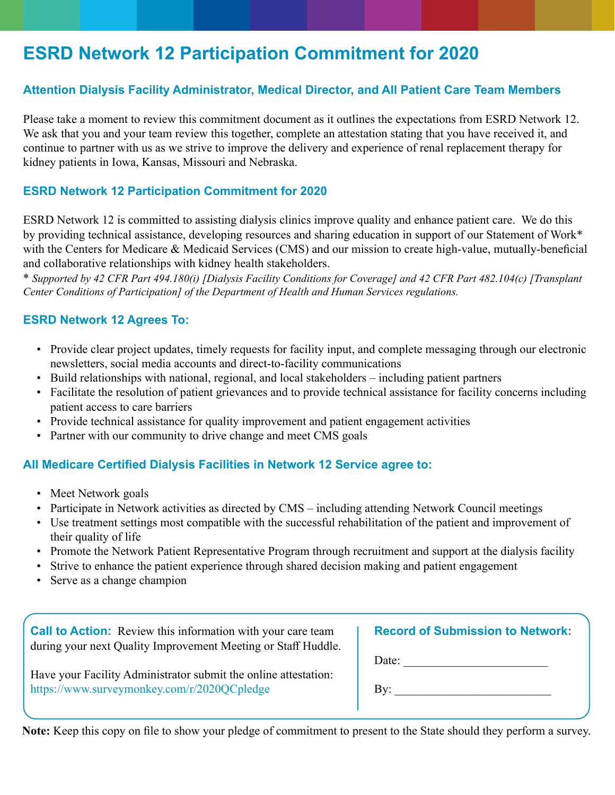# **ESRD Network 12 Participation Commitment for 2020**

# **Attention Dialysis Facility Administrator, Medical Director, and All Patient Care Team Members**

Please take a moment to review this commitment document as it outlines the expectations from ESRD Network 12. We ask that you and your team review this together, complete an attestation stating that you have received it, and continue to partner with us as we strive to improve the delivery and experience of renal replacement therapy for kidney patients in Iowa, Kansas, Missouri and Nebraska.

## **ESRD Network 12 Participation Commitment for 2020**

ESRD Network 12 is committed to assisting dialysis clinics improve quality and enhance patient care. We do this by providing technical assistance, developing resources and sharing education in support of our Statement of Work\* with the Centers for Medicare & Medicaid Services (CMS) and our mission to create high-value, mutually-beneficial and collaborative relationships with kidney health stakeholders.

\* *Supported by 42 CFR Part 494.180(i) [Dialysis Facility Conditions for Coverage] and 42 CFR Part 482.104(c) [Transplant Center Conditions of Participation] of the Department of Health and Human Services regulations.*

#### **ESRD Network 12 Agrees To:**

- Provide clear project updates, timely requests for facility input, and complete messaging through our electronic newsletters, social media accounts and direct-to-facility communications
- Build relationships with national, regional, and local stakeholders including patient partners
- Facilitate the resolution of patient grievances and to provide technical assistance for facility concerns including patient access to care barriers
- Provide technical assistance for quality improvement and patient engagement activities
- Partner with our community to drive change and meet CMS goals

#### **All Medicare Certified Dialysis Facilities in Network 12 Service agree to:**

- Meet Network goals
- Participate in Network activities as directed by CMS including attending Network Council meetings
- Use treatment settings most compatible with the successful rehabilitation of the patient and improvement of their quality of life
- Promote the Network Patient Representative Program through recruitment and support at the dialysis facility
- Strive to enhance the patient experience through shared decision making and patient engagement
- Serve as a change champion

| <b>Call to Action:</b> Review this information with your care team<br>during your next Quality Improvement Meeting or Staff Huddle. | <b>Record of Submission to Network:</b> |
|-------------------------------------------------------------------------------------------------------------------------------------|-----------------------------------------|
|                                                                                                                                     | Date:                                   |
| Have your Facility Administrator submit the online attestation:                                                                     |                                         |
| https://www.surveymonkey.com/r/2020QCpledge                                                                                         | Bv:                                     |

**Note:** Keep this copy on file to show your pledge of commitment to present to the State should they perform a survey.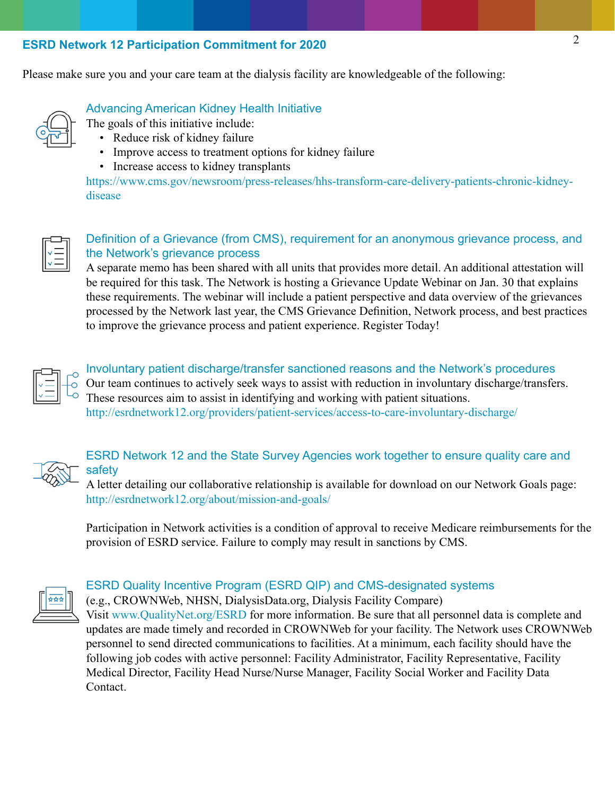## **ESRD Network 12 Participation Commitment for 2020**

Please make sure you and your care team at the dialysis facility are knowledgeable of the following:



# Advancing American Kidney Health Initiative

The goals of this initiative include:

- Reduce risk of kidney failure
- Improve access to treatment options for kidney failure
- Increase access to kidney transplants

https://www.cms.gov/newsroom/press-releases/hhs-transform-care-delivery-patients-chronic-kidneydisease



# Definition of a Grievance (from CMS), requirement for an anonymous grievance process, and the Network's grievance process

A separate memo has been shared with all units that provides more detail. An additional attestation will be required for this task. The Network is hosting a Grievance Update Webinar on Jan. 30 that explains these requirements. The webinar will include a patient perspective and data overview of the grievances processed by the Network last year, the CMS Grievance Definition, Network process, and best practices to improve the grievance process and patient experience. Register Today!



#### Involuntary patient discharge/transfer sanctioned reasons and the Network's procedures

Our team continues to actively seek ways to assist with reduction in involuntary discharge/transfers. These resources aim to assist in identifying and working with patient situations.

http://esrdnetwork12.org/providers/patient-services/access-to-care-involuntary-discharge/



# ESRD Network 12 and the State Survey Agencies work together to ensure quality care and safety

A letter detailing our collaborative relationship is available for download on our Network Goals page: http://esrdnetwork12.org/about/mission-and-goals/

Participation in Network activities is a condition of approval to receive Medicare reimbursements for the provision of ESRD service. Failure to comply may result in sanctions by CMS.



## ESRD Quality Incentive Program (ESRD QIP) and CMS-designated systems

(e.g., CROWNWeb, NHSN, DialysisData.org, Dialysis Facility Compare) Visit www.QualityNet.org/ESRD for more information. Be sure that all personnel data is complete and updates are made timely and recorded in CROWNWeb for your facility. The Network uses CROWNWeb personnel to send directed communications to facilities. At a minimum, each facility should have the following job codes with active personnel: Facility Administrator, Facility Representative, Facility Medical Director, Facility Head Nurse/Nurse Manager, Facility Social Worker and Facility Data Contact.